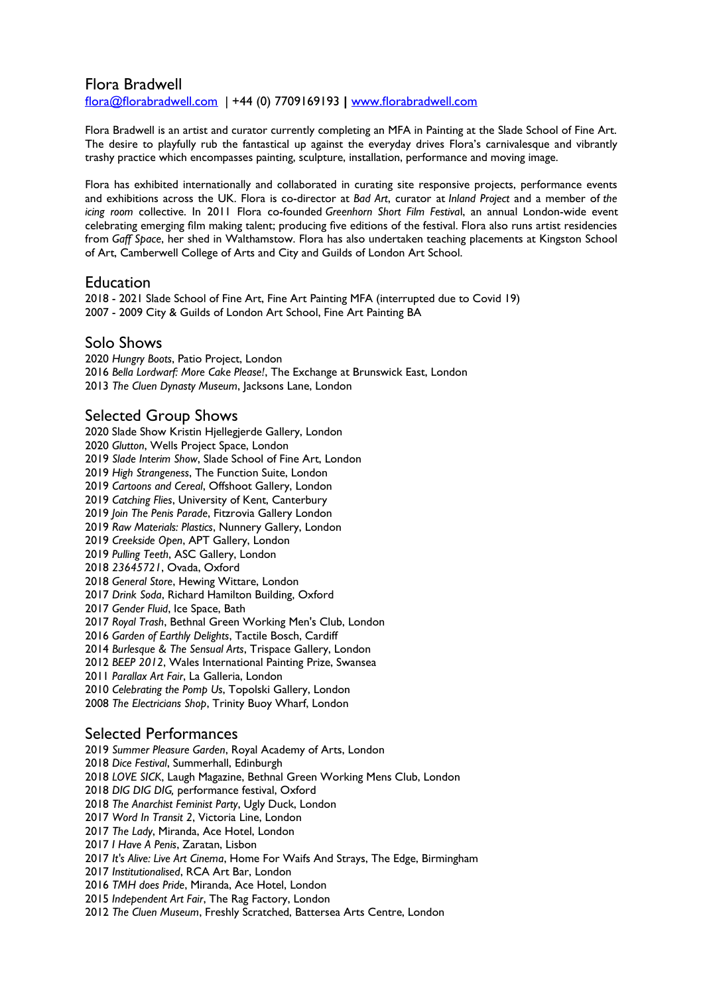#### Flora Bradwell

[fora@forabradwell.com](mailto:flora@florabradwell.com) | +44 (0) 7709169193 **|** [www.forabradwell.com](http://www.florabradwell.com/)

Flora Bradwell is an artist and curator currently completing an MFA in Painting at the Slade School of Fine Art. The desire to playfully rub the fantastical up against the everyday drives Flora's carnivalesque and vibrantly trashy practice which encompasses painting, sculpture, installation, performance and moving image.

Flora has exhibited internationally and collaborated in curating site responsive projects, performance events and exhibitions across the UK. Flora is co-director at *Bad Art*, curator at *Inland Project* and a member of *the icing room* collective. In 2011 Flora co-founded *Greenhorn Short Film Festiva*l, an annual London-wide event celebrating emerging flm making talent; producing fve editions of the festival. Flora also runs artist residencies from *Gaff Space*, her shed in Walthamstow. Flora has also undertaken teaching placements at Kingston School of Art, Camberwell College of Arts and City and Guilds of London Art School.

#### **Education**

2018 - 2021 Slade School of Fine Art, Fine Art Painting MFA (interrupted due to Covid 19) 2007 - 2009 City & Guilds of London Art School, Fine Art Painting BA

#### Solo Shows

*Hungry Boots*, Patio Project, London *Bella Lordwarf: More Cake Please!*, The Exchange at Brunswick East, London *The Cluen Dynasty Museum*, Jacksons Lane, London

#### Selected Group Shows

2020 Slade Show Kristin Hjellegjerde Gallery, London *Glutton*, Wells Project Space, London *Slade Interim Show*, Slade School of Fine Art, London *High Strangeness*, The Function Suite, London *Cartoons and Cereal*, Offshoot Gallery, London *Catching Flies*, University of Kent, Canterbury *Join The Penis Parade*, Fitzrovia Gallery London *Raw Materials: Plastics*, Nunnery Gallery, London *Creekside Open*, APT Gallery, London *Pulling Teeth*, ASC Gallery, London *23645721*, Ovada, Oxford *General Store*, Hewing Wittare, London *Drink Soda*, Richard Hamilton Building, Oxford *Gender Fluid*, Ice Space, Bath *Royal Trash*, Bethnal Green Working Men's Club, London *Garden of Earthly Delights*, Tactile Bosch, Cardiff *Burlesque & The Sensual Arts*, Trispace Gallery, London *BEEP 2012*, Wales International Painting Prize, Swansea *Parallax Art Fair*, La Galleria, London *Celebrating the Pomp Us*, Topolski Gallery, London *The Electricians Shop*, Trinity Buoy Wharf, London

## Selected Performances

*Summer Pleasure Garden*, Royal Academy of Arts, London *Dice Festival*, Summerhall, Edinburgh *LOVE SICK*, Laugh Magazine, Bethnal Green Working Mens Club, London *DIG DIG DIG,* performance festival, Oxford *The Anarchist Feminist Party*, Ugly Duck, London *Word In Transit 2*, Victoria Line, London *The Lady*, Miranda, Ace Hotel, London  *I Have A Penis*, Zaratan, Lisbon *It's Alive: Live Art Cinema*, Home For Waifs And Strays, The Edge, Birmingham *Institutionalised*, RCA Art Bar, London *TMH does Pride*, Miranda, Ace Hotel, London  *Independent Art Fair*, The Rag Factory, London *The Cluen Museum*, Freshly Scratched, Battersea Arts Centre, London